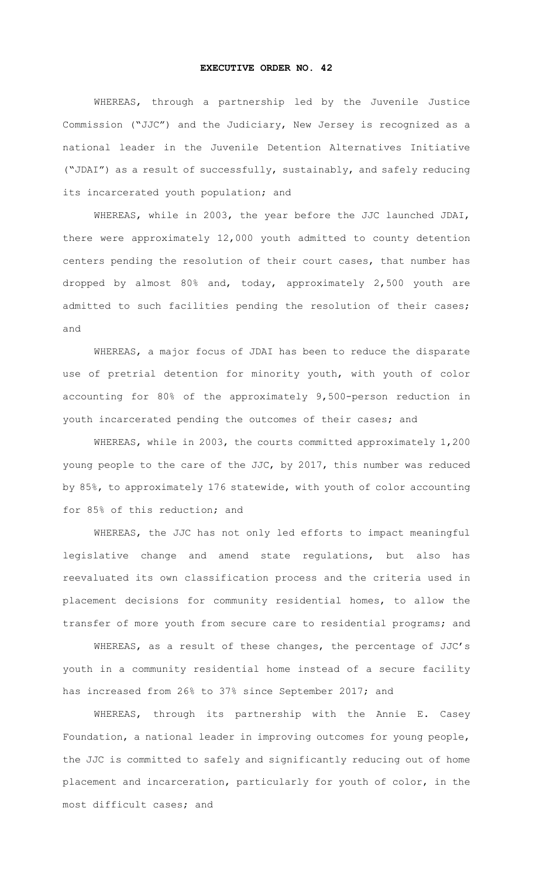## **EXECUTIVE ORDER NO. 42**

WHEREAS, through a partnership led by the Juvenile Justice Commission ("JJC") and the Judiciary, New Jersey is recognized as a national leader in the Juvenile Detention Alternatives Initiative ("JDAI") as a result of successfully, sustainably, and safely reducing its incarcerated youth population; and

WHEREAS, while in 2003, the year before the JJC launched JDAI, there were approximately 12,000 youth admitted to county detention centers pending the resolution of their court cases, that number has dropped by almost 80% and, today, approximately 2,500 youth are admitted to such facilities pending the resolution of their cases; and

WHEREAS, a major focus of JDAI has been to reduce the disparate use of pretrial detention for minority youth, with youth of color accounting for 80% of the approximately 9,500-person reduction in youth incarcerated pending the outcomes of their cases; and

WHEREAS, while in 2003, the courts committed approximately 1,200 young people to the care of the JJC, by 2017, this number was reduced by 85%, to approximately 176 statewide, with youth of color accounting for 85% of this reduction; and

WHEREAS, the JJC has not only led efforts to impact meaningful legislative change and amend state regulations, but also has reevaluated its own classification process and the criteria used in placement decisions for community residential homes, to allow the transfer of more youth from secure care to residential programs; and

WHEREAS, as a result of these changes, the percentage of JJC's youth in a community residential home instead of a secure facility has increased from 26% to 37% since September 2017; and

WHEREAS, through its partnership with the Annie E. Casey Foundation, a national leader in improving outcomes for young people, the JJC is committed to safely and significantly reducing out of home placement and incarceration, particularly for youth of color, in the most difficult cases; and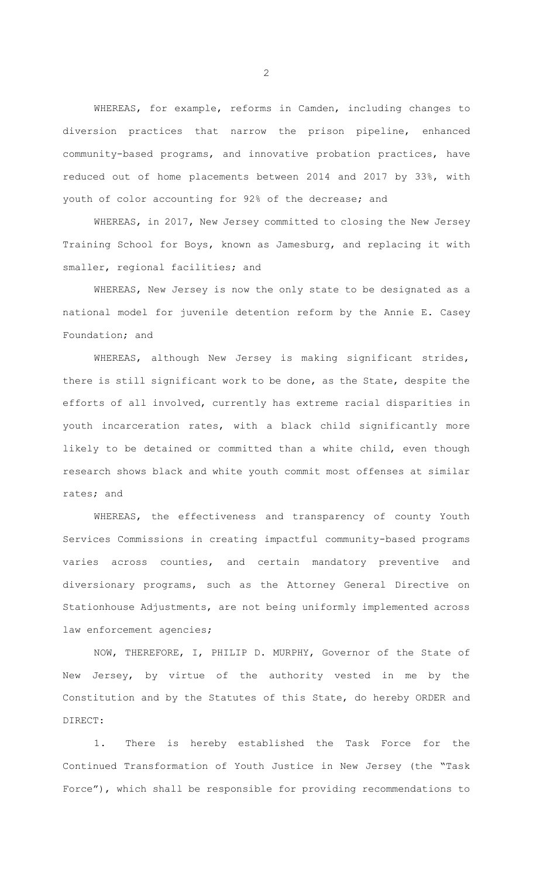WHEREAS, for example, reforms in Camden, including changes to diversion practices that narrow the prison pipeline, enhanced community-based programs, and innovative probation practices, have reduced out of home placements between 2014 and 2017 by 33%, with youth of color accounting for 92% of the decrease; and

WHEREAS, in 2017, New Jersey committed to closing the New Jersey Training School for Boys, known as Jamesburg, and replacing it with smaller, regional facilities; and

WHEREAS, New Jersey is now the only state to be designated as a national model for juvenile detention reform by the Annie E. Casey Foundation; and

WHEREAS, although New Jersey is making significant strides, there is still significant work to be done, as the State, despite the efforts of all involved, currently has extreme racial disparities in youth incarceration rates, with a black child significantly more likely to be detained or committed than a white child, even though research shows black and white youth commit most offenses at similar rates; and

WHEREAS, the effectiveness and transparency of county Youth Services Commissions in creating impactful community-based programs varies across counties, and certain mandatory preventive and diversionary programs, such as the Attorney General Directive on Stationhouse Adjustments, are not being uniformly implemented across law enforcement agencies;

NOW, THEREFORE, I, PHILIP D. MURPHY, Governor of the State of New Jersey, by virtue of the authority vested in me by the Constitution and by the Statutes of this State, do hereby ORDER and DIRECT:

1. There is hereby established the Task Force for the Continued Transformation of Youth Justice in New Jersey (the "Task Force"), which shall be responsible for providing recommendations to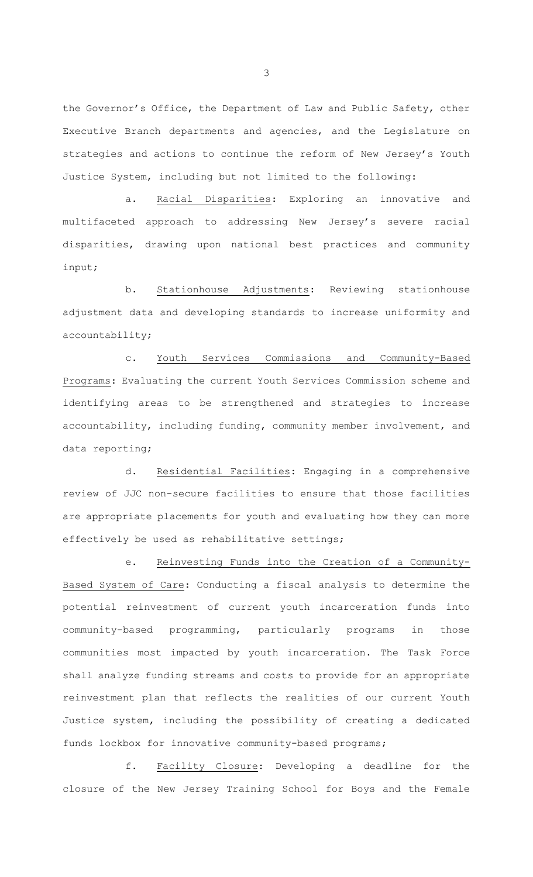the Governor's Office, the Department of Law and Public Safety, other Executive Branch departments and agencies, and the Legislature on strategies and actions to continue the reform of New Jersey's Youth Justice System, including but not limited to the following:

a. Racial Disparities: Exploring an innovative and multifaceted approach to addressing New Jersey's severe racial disparities, drawing upon national best practices and community input;

b. Stationhouse Adjustments: Reviewing stationhouse adjustment data and developing standards to increase uniformity and accountability;

c. Youth Services Commissions and Community-Based Programs: Evaluating the current Youth Services Commission scheme and identifying areas to be strengthened and strategies to increase accountability, including funding, community member involvement, and data reporting;

d. Residential Facilities: Engaging in a comprehensive review of JJC non-secure facilities to ensure that those facilities are appropriate placements for youth and evaluating how they can more effectively be used as rehabilitative settings;

e. Reinvesting Funds into the Creation of a Community-Based System of Care: Conducting a fiscal analysis to determine the potential reinvestment of current youth incarceration funds into community-based programming, particularly programs in those communities most impacted by youth incarceration. The Task Force shall analyze funding streams and costs to provide for an appropriate reinvestment plan that reflects the realities of our current Youth Justice system, including the possibility of creating a dedicated funds lockbox for innovative community-based programs;

f. Facility Closure: Developing a deadline for the closure of the New Jersey Training School for Boys and the Female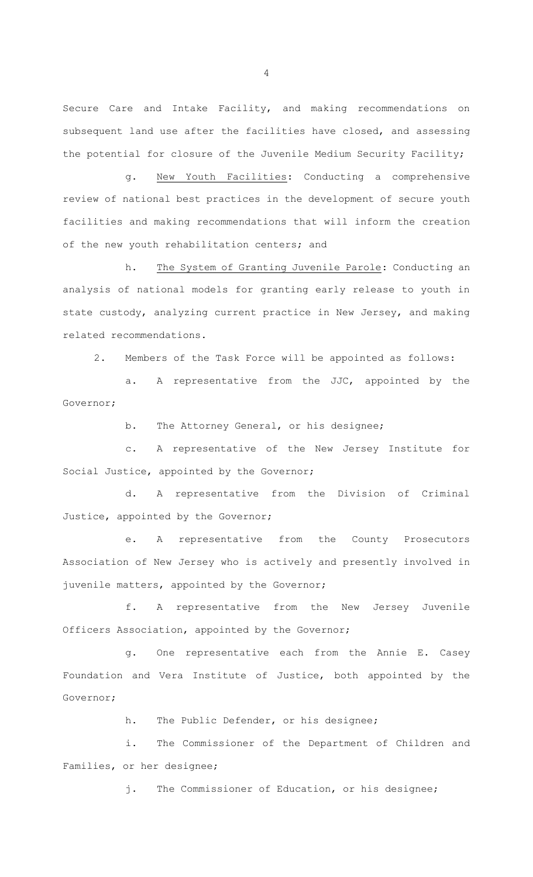Secure Care and Intake Facility, and making recommendations on subsequent land use after the facilities have closed, and assessing the potential for closure of the Juvenile Medium Security Facility;

g. New Youth Facilities: Conducting a comprehensive review of national best practices in the development of secure youth facilities and making recommendations that will inform the creation of the new youth rehabilitation centers; and

h. The System of Granting Juvenile Parole: Conducting an analysis of national models for granting early release to youth in state custody, analyzing current practice in New Jersey, and making related recommendations.

2. Members of the Task Force will be appointed as follows:

a. A representative from the JJC, appointed by the Governor;

b. The Attorney General, or his designee;

c. A representative of the New Jersey Institute for Social Justice, appointed by the Governor;

d. A representative from the Division of Criminal Justice, appointed by the Governor;

e. A representative from the County Prosecutors Association of New Jersey who is actively and presently involved in juvenile matters, appointed by the Governor;

f. A representative from the New Jersey Juvenile Officers Association, appointed by the Governor;

g. One representative each from the Annie E. Casey Foundation and Vera Institute of Justice, both appointed by the Governor;

h. The Public Defender, or his designee;

i. The Commissioner of the Department of Children and Families, or her designee;

j. The Commissioner of Education, or his designee;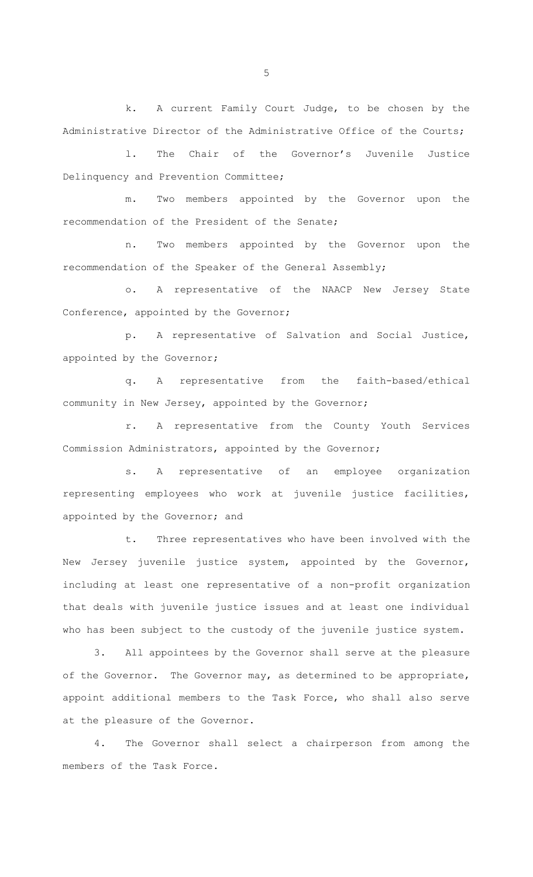k. A current Family Court Judge, to be chosen by the Administrative Director of the Administrative Office of the Courts;

l. The Chair of the Governor's Juvenile Justice Delinquency and Prevention Committee;

m. Two members appointed by the Governor upon the recommendation of the President of the Senate;

n. Two members appointed by the Governor upon the recommendation of the Speaker of the General Assembly;

o. A representative of the NAACP New Jersey State Conference, appointed by the Governor;

p. A representative of Salvation and Social Justice, appointed by the Governor;

q. A representative from the faith-based/ethical community in New Jersey, appointed by the Governor;

r. A representative from the County Youth Services Commission Administrators, appointed by the Governor;

s. A representative of an employee organization representing employees who work at juvenile justice facilities, appointed by the Governor; and

t. Three representatives who have been involved with the New Jersey juvenile justice system, appointed by the Governor, including at least one representative of a non-profit organization that deals with juvenile justice issues and at least one individual who has been subject to the custody of the juvenile justice system.

3. All appointees by the Governor shall serve at the pleasure of the Governor. The Governor may, as determined to be appropriate, appoint additional members to the Task Force, who shall also serve at the pleasure of the Governor.

4. The Governor shall select a chairperson from among the members of the Task Force.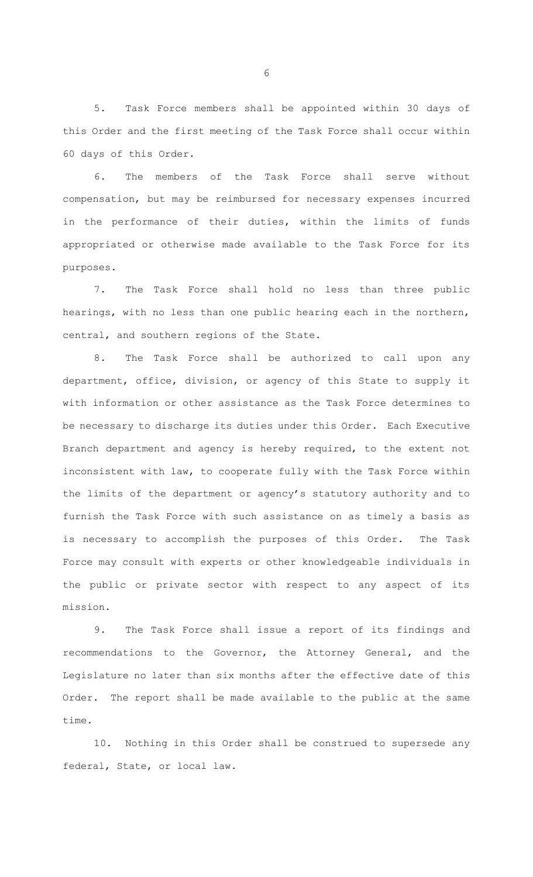5. Task Force members shall be appointed within 30 days of this Order and the first meeting of the Task Force shall occur within 60 days of this Order.

6. The members of the Task Force shall serve without compensation, but may be reimbursed for necessary expenses incurred in the performance of their duties, within the limits of funds appropriated or otherwise made available to the Task Force for its purposes.

7. The Task Force shall hold no less than three public hearings, with no less than one public hearing each in the northern, central, and southern regions of the State.

8. The Task Force shall be authorized to call upon any department, office, division, or agency of this State to supply it with information or other assistance as the Task Force determines to be necessary to discharge its duties under this Order. Each Executive Branch department and agency is hereby required, to the extent not inconsistent with law, to cooperate fully with the Task Force within the limits of the department or agency's statutory authority and to furnish the Task Force with such assistance on as timely a basis as is necessary to accomplish the purposes of this Order. The Task Force may consult with experts or other knowledgeable individuals in the public or private sector with respect to any aspect of its mission.

9. The Task Force shall issue a report of its findings and recommendations to the Governor, the Attorney General, and the Legislature no later than six months after the effective date of this Order. The report shall be made available to the public at the same time.

10. Nothing in this Order shall be construed to supersede any federal, State, or local law.